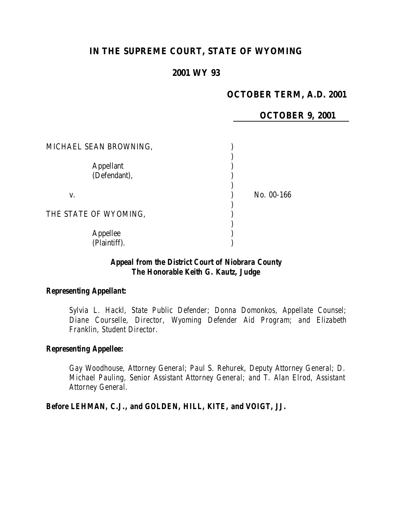# **IN THE SUPREME COURT, STATE OF WYOMING**

### **2001 WY 93**

### **OCTOBER TERM, A.D. 2001**

### **OCTOBER 9, 2001**

| MICHAEL SEAN BROWNING,           |            |
|----------------------------------|------------|
| <b>Appellant</b><br>(Defendant), |            |
| V.                               | No. 00-166 |
| THE STATE OF WYOMING,            |            |
| Appellee<br>(Plaintiff).         |            |

## *Appeal from the District Court of Niobrara County The Honorable Keith G. Kautz, Judge*

#### *Representing Appellant:*

*Sylvia L. Hackl, State Public Defender; Donna Domonkos, Appellate Counsel; Diane Courselle, Director, Wyoming Defender Aid Program; and Elizabeth Franklin, Student Director.*

#### *Representing Appellee:*

*Gay Woodhouse, Attorney General; Paul S. Rehurek, Deputy Attorney General; D. Michael Pauling, Senior Assistant Attorney General; and T. Alan Elrod, Assistant Attorney General.*

*Before LEHMAN, C.J., and GOLDEN, HILL, KITE, and VOIGT, JJ.*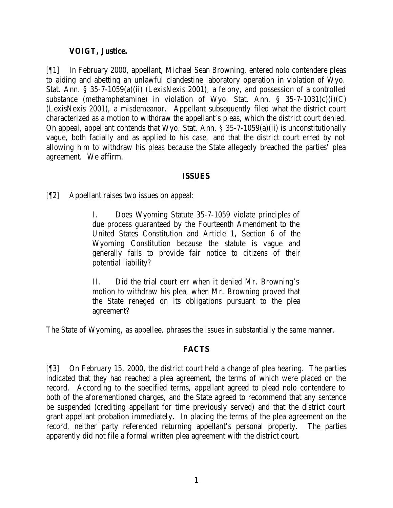### **VOIGT, Justice.**

[¶1] In February 2000, appellant, Michael Sean Browning, entered nolo contendere pleas to aiding and abetting an unlawful clandestine laboratory operation in violation of Wyo. Stat. Ann. § 35-7-1059(a)(ii) (LexisNexis 2001), a felony, and possession of a controlled substance (methamphetamine) in violation of Wyo. Stat. Ann.  $\S$  35-7-1031(c)(i)(C) (LexisNexis 2001), a misdemeanor. Appellant subsequently filed what the district court characterized as a motion to withdraw the appellant's pleas, which the district court denied. On appeal, appellant contends that Wyo. Stat. Ann. § 35-7-1059(a)(ii) is unconstitutionally vague, both facially and as applied to his case, and that the district court erred by not allowing him to withdraw his pleas because the State allegedly breached the parties' plea agreement. We affirm.

#### **ISSUES**

[¶2] Appellant raises two issues on appeal:

I. Does Wyoming Statute 35-7-1059 violate principles of due process guaranteed by the Fourteenth Amendment to the United States Constitution and Article 1, Section 6 of the Wyoming Constitution because the statute is vague and generally fails to provide fair notice to citizens of their potential liability?

II. Did the trial court err when it denied Mr. Browning's motion to withdraw his plea, when Mr. Browning proved that the State reneged on its obligations pursuant to the plea agreement?

The State of Wyoming, as appellee, phrases the issues in substantially the same manner.

#### **FACTS**

[¶3] On February 15, 2000, the district court held a change of plea hearing. The parties indicated that they had reached a plea agreement, the terms of which were placed on the record. According to the specified terms, appellant agreed to plead nolo contendere to both of the aforementioned charges, and the State agreed to recommend that any sentence be suspended (crediting appellant for time previously served) and that the district court grant appellant probation immediately. In placing the terms of the plea agreement on the record, neither party referenced returning appellant's personal property. The parties apparently did not file a formal written plea agreement with the district court.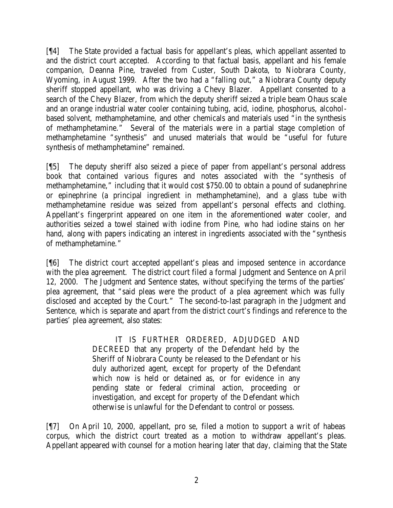[¶4] The State provided a factual basis for appellant's pleas, which appellant assented to and the district court accepted. According to that factual basis, appellant and his female companion, Deanna Pine, traveled from Custer, South Dakota, to Niobrara County, Wyoming, in August 1999. After the two had a "falling out," a Niobrara County deputy sheriff stopped appellant, who was driving a Chevy Blazer. Appellant consented to a search of the Chevy Blazer, from which the deputy sheriff seized a triple beam Ohaus scale and an orange industrial water cooler containing tubing, acid, iodine, phosphorus, alcoholbased solvent, methamphetamine, and other chemicals and materials used "in the synthesis of methamphetamine." Several of the materials were in a partial stage completion of methamphetamine "synthesis" and unused materials that would be "useful for future synthesis of methamphetamine" remained.

[¶5] The deputy sheriff also seized a piece of paper from appellant's personal address book that contained various figures and notes associated with the "synthesis of methamphetamine," including that it would cost \$750.00 to obtain a pound of sudanephrine or epinephrine (a principal ingredient in methamphetamine), and a glass tube with methamphetamine residue was seized from appellant's personal effects and clothing. Appellant's fingerprint appeared on one item in the aforementioned water cooler, and authorities seized a towel stained with iodine from Pine, who had iodine stains on her hand, along with papers indicating an interest in ingredients associated with the "synthesis of methamphetamine."

[¶6] The district court accepted appellant's pleas and imposed sentence in accordance with the plea agreement. The district court filed a formal Judgment and Sentence on April 12, 2000. The Judgment and Sentence states, without specifying the terms of the parties' plea agreement, that "said pleas were the product of a plea agreement which was fully disclosed and accepted by the Court." The second-to-last paragraph in the Judgment and Sentence, which is separate and apart from the district court's findings and reference to the parties' plea agreement, also states:

> IT IS FURTHER ORDERED, ADJUDGED AND DECREED that any property of the Defendant held by the Sheriff of Niobrara County be released to the Defendant or his duly authorized agent, except for property of the Defendant which now is held or detained as, or for evidence in any pending state or federal criminal action, proceeding or investigation, and except for property of the Defendant which otherwise is unlawful for the Defendant to control or possess.

[¶7] On April 10, 2000, appellant, pro se, filed a motion to support a writ of habeas corpus, which the district court treated as a motion to withdraw appellant's pleas. Appellant appeared with counsel for a motion hearing later that day, claiming that the State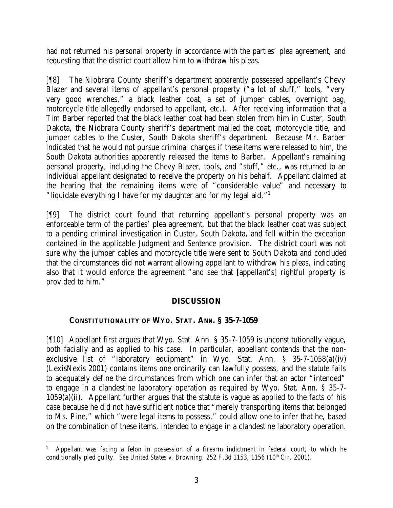had not returned his personal property in accordance with the parties' plea agreement, and requesting that the district court allow him to withdraw his pleas.

[¶8] The Niobrara County sheriff's department apparently possessed appellant's Chevy Blazer and several items of appellant's personal property ("a lot of stuff," tools, "very very good wrenches," a black leather coat, a set of jumper cables, overnight bag, motorcycle title allegedly endorsed to appellant, etc.). After receiving information that a Tim Barber reported that the black leather coat had been stolen from him in Custer, South Dakota, the Niobrara County sheriff's department mailed the coat, motorcycle title, and jumper cables to the Custer, South Dakota sheriff's department. Because Mr. Barber indicated that he would not pursue criminal charges if these items were released to him, the South Dakota authorities apparently released the items to Barber. Appellant's remaining personal property, including the Chevy Blazer, tools, and "stuff," etc., was returned to an individual appellant designated to receive the property on his behalf. Appellant claimed at the hearing that the remaining items were of "considerable value" and necessary to "liquidate everything I have for my daughter and for my legal aid."<sup>1</sup>

[¶9] The district court found that returning appellant's personal property was an enforceable term of the parties' plea agreement, but that the black leather coat was subject to a pending criminal investigation in Custer, South Dakota, and fell within the exception contained in the applicable Judgment and Sentence provision. The district court was not sure why the jumper cables and motorcycle title were sent to South Dakota and concluded that the circumstances did not warrant allowing appellant to withdraw his pleas, indicating also that it would enforce the agreement "and see that [appellant's] rightful property is provided to him."

## **DISCUSSION**

# **CONSTITUTIONALITY OF WYO. STAT. ANN. § 35-7-1059**

[¶10] Appellant first argues that Wyo. Stat. Ann. § 35-7-1059 is unconstitutionally vague, both facially and as applied to his case. In particular, appellant contends that the nonexclusive list of "laboratory equipment" in Wyo. Stat. Ann. § 35-7-1058(a)(iv) (LexisNexis 2001) contains items one ordinarily can lawfully possess, and the statute fails to adequately define the circumstances from which one can infer that an actor "intended" to engage in a clandestine laboratory operation as required by Wyo. Stat. Ann. § 35-7-  $1059(a)(ii)$ . Appellant further argues that the statute is vague as applied to the facts of his case because he did not have sufficient notice that "merely transporting items that belonged to Ms. Pine," which "were legal items to possess," could allow one to infer that he, based on the combination of these items, intended to engage in a clandestine laboratory operation.

 1 Appellant was facing a felon in possession of a firearm indictment in federal court, to which he conditionally pled guilty. *See United States v. Browning*, 252 F.3d 1153, 1156 (10<sup>th</sup> Cir. 2001).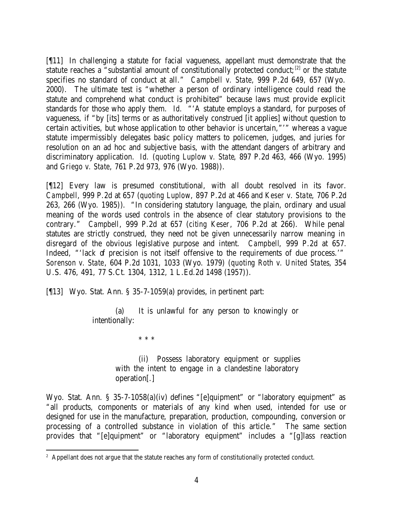[¶11] In challenging a statute for facial vagueness, appellant must demonstrate that the statute reaches a "substantial amount of constitutionally protected conduct;<sup>[2]</sup> or the statute specifies no standard of conduct at all." *Campbell v. State*, 999 P.2d 649, 657 (Wyo. 2000). The ultimate test is "whether a person of ordinary intelligence could read the statute and comprehend what conduct is prohibited" because laws must provide explicit standards for those who apply them. *Id.* "'A statute employs a standard, for purposes of vagueness, if "by [its] terms or as authoritatively construed [it applies] without question to certain activities, but whose application to other behavior is uncertain,"'" whereas a vague statute impermissibly delegates basic policy matters to policemen, judges, and juries for resolution on an ad hoc and subjective basis, with the attendant dangers of arbitrary and discriminatory application. *Id.* (*quoting Luplow v. State*, 897 P.2d 463, 466 (Wyo. 1995) and *Griego v. State*, 761 P.2d 973, 976 (Wyo. 1988)).

[¶12] Every law is presumed constitutional, with all doubt resolved in its favor. *Campbell*, 999 P.2d at 657 (*quoting Luplow*, 897 P.2d at 466 and *Keser v. State*, 706 P.2d 263, 266 (Wyo. 1985)). "In considering statutory language, the plain, ordinary and usual meaning of the words used controls in the absence of clear statutory provisions to the contrary." *Campbell*, 999 P.2d at 657 (*citing Keser*, 706 P.2d at 266). While penal statutes are strictly construed, they need not be given unnecessarily narrow meaning in disregard of the obvious legislative purpose and intent. *Campbell*, 999 P.2d at 657. Indeed, "'lack of precision is not itself offensive to the requirements of due process.'" *Sorenson v. State*, 604 P.2d 1031, 1033 (Wyo. 1979) (*quoting Roth v. United States*, 354 U.S. 476, 491, 77 S.Ct. 1304, 1312, 1 L.Ed.2d 1498 (1957)).

[¶13] Wyo. Stat. Ann. § 35-7-1059(a) provides, in pertinent part:

(a) It is unlawful for any person to knowingly or intentionally:

\* \* \*

(ii) Possess laboratory equipment or supplies with the intent to engage in a clandestine laboratory operation[.]

Wyo. Stat. Ann. § 35-7-1058(a)(iv) defines "[e]quipment" or "laboratory equipment" as "all products, components or materials of any kind when used, intended for use or designed for use in the manufacture, preparation, production, compounding, conversion or processing of a controlled substance in violation of this article." The same section provides that "[e]quipment" or "laboratory equipment" includes a "[g]lass reaction

<sup>&</sup>lt;sup>2</sup> Appellant does not argue that the statute reaches any form of constitutionally protected conduct.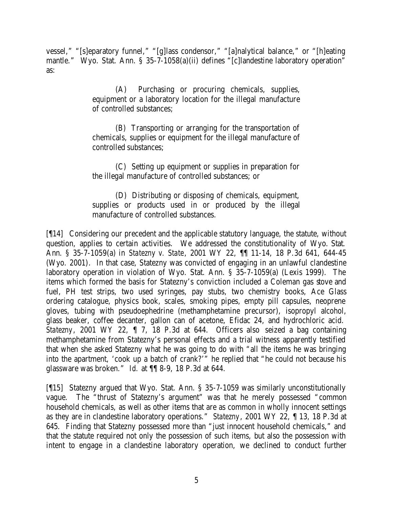vessel," "[s]eparatory funnel," "[g]lass condensor," "[a]nalytical balance," or "[h]eating mantle." Wyo. Stat. Ann. § 35-7-1058(a)(ii) defines "[c]landestine laboratory operation" as:

> (A) Purchasing or procuring chemicals, supplies, equipment or a laboratory location for the illegal manufacture of controlled substances;

> (B) Transporting or arranging for the transportation of chemicals, supplies or equipment for the illegal manufacture of controlled substances;

> (C) Setting up equipment or supplies in preparation for the illegal manufacture of controlled substances; or

> (D) Distributing or disposing of chemicals, equipment, supplies or products used in or produced by the illegal manufacture of controlled substances.

[¶14] Considering our precedent and the applicable statutory language, the statute, without question, applies to certain activities. We addressed the constitutionality of Wyo. Stat. Ann. § 35-7-1059(a) in *Statezny v. State*, 2001 WY 22, ¶¶ 11-14, 18 P.3d 641, 644-45 (Wyo. 2001). In that case, Statezny was convicted of engaging in an unlawful clandestine laboratory operation in violation of Wyo. Stat. Ann. § 35-7-1059(a) (Lexis 1999). The items which formed the basis for Statezny's conviction included a Coleman gas stove and fuel, PH test strips, two used syringes, pay stubs, two chemistry books, Ace Glass ordering catalogue, physics book, scales, smoking pipes, empty pill capsules, neoprene gloves, tubing with pseudoephedrine (methamphetamine precursor), isopropyl alcohol, glass beaker, coffee decanter, gallon can of acetone, Efidac 24, and hydrochloric acid. *Statezny*, 2001 WY 22, ¶ 7, 18 P.3d at 644. Officers also seized a bag containing methamphetamine from Statezny's personal effects and a trial witness apparently testified that when she asked Statezny what he was going to do with "all the items he was bringing into the apartment, 'cook up a batch of crank?'" he replied that "he could not because his glassware was broken." *Id.* at ¶¶ 8-9, 18 P.3d at 644.

[¶15] Statezny argued that Wyo. Stat. Ann. § 35-7-1059 was similarly unconstitutionally vague. The "thrust of Statezny's argument" was that he merely possessed "common household chemicals, as well as other items that are as common in wholly innocent settings as they are in clandestine laboratory operations." *Statezny*, 2001 WY 22, ¶ 13, 18 P.3d at 645. Finding that Statezny possessed more than "just innocent household chemicals," and that the statute required not only the possession of such items, but also the possession with intent to engage in a clandestine laboratory operation, we declined to conduct further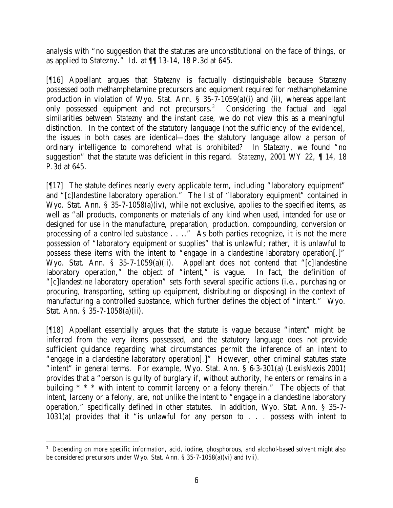analysis with "no suggestion that the statutes are unconstitutional on the face of things, or as applied to Statezny." *Id.* at ¶¶ 13-14, 18 P.3d at 645.

[¶16] Appellant argues that *Statezny* is factually distinguishable because Statezny possessed both methamphetamine precursors and equipment required for methamphetamine production in violation of Wyo. Stat. Ann. § 35-7-1059(a)(i) and (ii), whereas appellant only possessed equipment and not precursors.<sup>3</sup> Considering the factual and legal similarities between *Statezny* and the instant case, we do not view this as a meaningful distinction. In the context of the statutory language (not the sufficiency of the evidence), the issues in both cases are identical—does the statutory language allow a person of ordinary intelligence to comprehend what is prohibited? In *Statezny*, we found "no suggestion" that the statute was deficient in this regard. *Statezny*, 2001 WY 22, ¶ 14, 18 P.3d at 645.

[¶17] The statute defines nearly every applicable term, including "laboratory equipment" and "[c]landestine laboratory operation." The list of "laboratory equipment" contained in Wyo. Stat. Ann. § 35-7-1058(a)(iv), while not exclusive, applies to the specified items, as well as "all products, components or materials of any kind when used, intended for use or designed for use in the manufacture, preparation, production, compounding, conversion or processing of a controlled substance . . .." As both parties recognize, it is not the mere possession of "laboratory equipment or supplies" that is unlawful; rather, it is unlawful to possess these items with the intent to "engage in a clandestine laboratory operation[.]" Wyo. Stat. Ann. § 35-7-1059(a)(ii). Appellant does not contend that "[c]landestine laboratory operation," the object of "intent," is vague. In fact, the definition of "[c]landestine laboratory operation" sets forth several specific actions (i.e., purchasing or procuring, transporting, setting up equipment, distributing or disposing) in the context of manufacturing a controlled substance, which further defines the object of "intent." Wyo. Stat. Ann. § 35-7-1058(a)(ii).

[¶18] Appellant essentially argues that the statute is vague because "intent" might be inferred from the very items possessed, and the statutory language does not provide sufficient guidance regarding what circumstances permit the inference of an intent to "engage in a clandestine laboratory operation[.]" However, other criminal statutes state "intent" in general terms. For example, Wyo. Stat. Ann. § 6-3-301(a) (LexisNexis 2001) provides that a "person is guilty of burglary if, without authority, he enters or remains in a building \* \* \* with intent to commit larceny or a felony therein." The objects of that intent, larceny or a felony, are, not unlike the intent to "engage in a clandestine laboratory operation," specifically defined in other statutes. In addition, Wyo. Stat. Ann. § 35-7- 1031(a) provides that it "is unlawful for any person to . . . possess with intent to

<sup>&</sup>lt;sup>3</sup> Depending on more specific information, acid, iodine, phosphorous, and alcohol-based solvent might also be considered precursors under Wyo. Stat. Ann. § 35-7-1058(a)(vi) and (vii).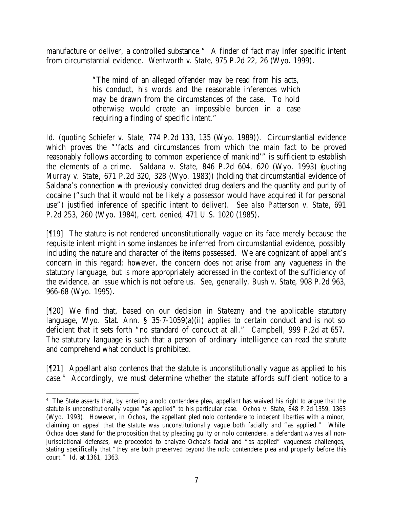manufacture or deliver, a controlled substance." A finder of fact may infer specific intent from circumstantial evidence. *Wentworth v. State*, 975 P.2d 22, 26 (Wyo. 1999).

> "The mind of an alleged offender may be read from his acts, his conduct, his words and the reasonable inferences which may be drawn from the circumstances of the case. To hold otherwise would create an impossible burden in a case requiring a finding of specific intent."

*Id.* (*quoting Schiefer v. State*, 774 P.2d 133, 135 (Wyo. 1989)). Circumstantial evidence which proves the "'facts and circumstances from which the main fact to be proved reasonably follows according to common experience of mankind'" is sufficient to establish the elements of a crime. *Saldana v. State*, 846 P.2d 604, 620 (Wyo. 1993) (*quoting Murray v. State*, 671 P.2d 320, 328 (Wyo. 1983)) (holding that circumstantial evidence of Saldana's connection with previously convicted drug dealers and the quantity and purity of cocaine ("such that it would not be likely a possessor would have acquired it for personal use") justified inference of specific intent to deliver). *See also Patterson v. State*, 691 P.2d 253, 260 (Wyo. 1984), *cert. denied*, 471 U.S. 1020 (1985).

[¶19] The statute is not rendered unconstitutionally vague on its face merely because the requisite intent might in some instances be inferred from circumstantial evidence, possibly including the nature and character of the items possessed. We are cognizant of appellant's concern in this regard; however, the concern does not arise from any vagueness in the statutory language, but is more appropriately addressed in the context of the sufficiency of the evidence, an issue which is not before us. *See, generally, Bush v. State*, 908 P.2d 963, 966-68 (Wyo. 1995).

[¶20] We find that, based on our decision in *Statezny* and the applicable statutory language, Wyo. Stat. Ann.  $\S$  35-7-1059(a)(ii) applies to certain conduct and is not so deficient that it sets forth "no standard of conduct at all." *Campbell*, 999 P.2d at 657. The statutory language is such that a person of ordinary intelligence can read the statute and comprehend what conduct is prohibited.

[¶21] Appellant also contends that the statute is unconstitutionally vague as applied to his case.<sup>4</sup> Accordingly, we must determine whether the statute affords sufficient notice to a

<sup>4</sup> The State asserts that, by entering a nolo contendere plea, appellant has waived his right to argue that the statute is unconstitutionally vague "as applied" to his particular case. *Ochoa v. State*, 848 P.2d 1359, 1363 (Wyo. 1993). However, in *Ochoa*, the appellant pled nolo contendere to indecent liberties with a minor, claiming on appeal that the statute was unconstitutionally vague both facially and "as applied." While *Ochoa* does stand for the proposition that by pleading guilty or nolo contendere, a defendant waives all nonjurisdictional defenses, we proceeded to analyze Ochoa's facial and "as applied" vagueness challenges, stating specifically that "they are both preserved beyond the nolo contendere plea and properly before this court." *Id.* at 1361, 1363.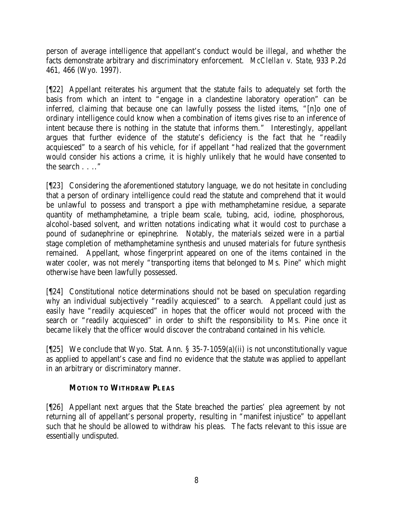person of average intelligence that appellant's conduct would be illegal, and whether the facts demonstrate arbitrary and discriminatory enforcement. *McClellan v. State*, 933 P.2d 461, 466 (Wyo. 1997).

[¶22] Appellant reiterates his argument that the statute fails to adequately set forth the basis from which an intent to "engage in a clandestine laboratory operation" can be inferred, claiming that because one can lawfully possess the listed items, "[n]o one of ordinary intelligence could know when a combination of items gives rise to an inference of intent because there is nothing in the statute that informs them." Interestingly, appellant argues that further evidence of the statute's deficiency is the fact that he "readily acquiesced" to a search of his vehicle, for if appellant "had realized that the government would consider his actions a crime, it is highly unlikely that he would have consented to the search . . .."

[¶23] Considering the aforementioned statutory language, we do not hesitate in concluding that a person of ordinary intelligence could read the statute and comprehend that it would be unlawful to possess and transport a pipe with methamphetamine residue, a separate quantity of methamphetamine, a triple beam scale, tubing, acid, iodine, phosphorous, alcohol-based solvent, and written notations indicating what it would cost to purchase a pound of sudanephrine or epinephrine. Notably, the materials seized were in a partial stage completion of methamphetamine synthesis and unused materials for future synthesis remained. Appellant, whose fingerprint appeared on one of the items contained in the water cooler, was not merely "transporting items that belonged to Ms. Pine" which might otherwise have been lawfully possessed.

[¶24] Constitutional notice determinations should not be based on speculation regarding why an individual subjectively "readily acquiesced" to a search. Appellant could just as easily have "readily acquiesced" in hopes that the officer would not proceed with the search or "readily acquiesced" in order to shift the responsibility to Ms. Pine once it became likely that the officer would discover the contraband contained in his vehicle.

[¶25] We conclude that Wyo. Stat. Ann. § 35-7-1059(a)(ii) is not unconstitutionally vague as applied to appellant's case and find no evidence that the statute was applied to appellant in an arbitrary or discriminatory manner.

## **MOTION TO WITHDRAW PLEAS**

[¶26] Appellant next argues that the State breached the parties' plea agreement by not returning all of appellant's personal property, resulting in "manifest injustice" to appellant such that he should be allowed to withdraw his pleas. The facts relevant to this issue are essentially undisputed.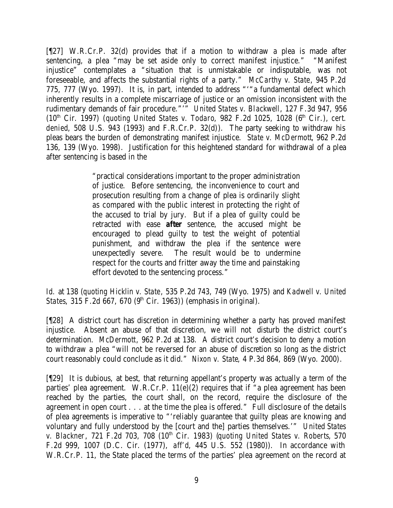[¶27] W.R.Cr.P. 32(d) provides that if a motion to withdraw a plea is made after sentencing, a plea "may be set aside only to correct manifest injustice." "Manifest injustice" contemplates a "situation that is unmistakable or indisputable, was not foreseeable, and affects the substantial rights of a party." *McCarthy v. State*, 945 P.2d 775, 777 (Wyo. 1997). It is, in part, intended to address "'"a fundamental defect which inherently results in a complete miscarriage of justice or an omission inconsistent with the rudimentary demands of fair procedure."'" *United States v. Blackwell*, 127 F.3d 947, 956 (10<sup>th</sup> Cir. 1997) (*quoting United States v. Todaro*, 982 F.2d 1025, 1028 (6<sup>th</sup> Cir.), *cert. denied*, 508 U.S. 943 (1993) and F.R.Cr.P. 32(d)). The party seeking to withdraw his pleas bears the burden of demonstrating manifest injustice. *State v. McDermott*, 962 P.2d 136, 139 (Wyo. 1998). Justification for this heightened standard for withdrawal of a plea after sentencing is based in the

> "practical considerations important to the proper administration of justice. Before sentencing, the inconvenience to court and prosecution resulting from a change of plea is ordinarily slight as compared with the public interest in protecting the right of the accused to trial by jury. But if a plea of guilty could be retracted with ease *after* sentence, the accused might be encouraged to plead guilty to test the weight of potential punishment, and withdraw the plea if the sentence were unexpectedly severe. The result would be to undermine respect for the courts and fritter away the time and painstaking effort devoted to the sentencing process."

*Id.* at 138 (*quoting Hicklin v. State*, 535 P.2d 743, 749 (Wyo. 1975) and *Kadwell v. United States*, 315 F.2d 667, 670 (9<sup>th</sup> Cir. 1963)) (emphasis in original).

[¶28] A district court has discretion in determining whether a party has proved manifest injustice. Absent an abuse of that discretion, we will not disturb the district court's determination. *McDermott*, 962 P.2d at 138. A district court's decision to deny a motion to withdraw a plea "will not be reversed for an abuse of discretion so long as the district court reasonably could conclude as it did." *Nixon v. State*, 4 P.3d 864, 869 (Wyo. 2000).

[¶29] It is dubious, at best, that returning appellant's property was actually a term of the parties' plea agreement. W.R.Cr.P. 11(e)(2) requires that if "a plea agreement has been reached by the parties, the court shall, on the record, require the disclosure of the agreement in open court . . . at the time the plea is offered." Full disclosure of the details of plea agreements is imperative to "'reliably guarantee that guilty pleas are knowing and voluntary and fully understood by the [court and the] parties themselves.'" *United States v. Blackner*, 721 F.2d 703, 708 (10th Cir. 1983) (*quoting United States v. Roberts*, 570 F.2d 999, 1007 (D.C. Cir. (1977), *aff'd*, 445 U.S. 552 (1980)). In accordance with W.R.Cr.P. 11, the State placed the terms of the parties' plea agreement on the record at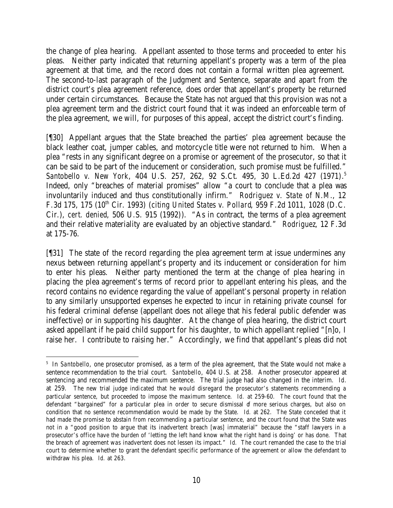the change of plea hearing. Appellant assented to those terms and proceeded to enter his pleas. Neither party indicated that returning appellant's property was a term of the plea agreement at that time, and the record does not contain a formal written plea agreement. The second-to-last paragraph of the Judgment and Sentence, separate and apart from the district court's plea agreement reference, does order that appellant's property be returned under certain circumstances. Because the State has not argued that this provision was not a plea agreement term and the district court found that it was indeed an enforceable term of the plea agreement, we will, for purposes of this appeal, accept the district court's finding.

[¶30] Appellant argues that the State breached the parties' plea agreement because the black leather coat, jumper cables, and motorcycle title were not returned to him. When a plea "rests in any significant degree on a promise or agreement of the prosecutor, so that it can be said to be part of the inducement or consideration, such promise must be fulfilled." *Santobello v. New York*, 404 U.S. 257, 262, 92 S.Ct. 495, 30 L.Ed.2d 427 (1971). 5 Indeed, only "breaches of material promises" allow "a court to conclude that a plea was involuntarily induced and thus constitutionally infirm." *Rodriguez v. State of N.M.*, 12 F.3d 175, 175 (10th Cir. 1993) (*citing United States v. Pollard*, 959 F.2d 1011, 1028 (D.C. Cir.), *cert. denied*, 506 U.S. 915 (1992)). "As in contract, the terms of a plea agreement and their relative materiality are evaluated by an objective standard." *Rodriguez*, 12 F.3d at 175-76.

[¶31] The state of the record regarding the plea agreement term at issue undermines any nexus between returning appellant's property and its inducement or consideration for him to enter his pleas. Neither party mentioned the term at the change of plea hearing in placing the plea agreement's terms of record prior to appellant entering his pleas, and the record contains no evidence regarding the value of appellant's personal property in relation to any similarly unsupported expenses he expected to incur in retaining private counsel for his federal criminal defense (appellant does not allege that his federal public defender was ineffective) or in supporting his daughter. At the change of plea hearing, the district court asked appellant if he paid child support for his daughter, to which appellant replied "[n]o, I raise her. I contribute to raising her." Accordingly, we find that appellant's pleas did not

<sup>&</sup>lt;sup>5</sup> In *Santobello*, one prosecutor promised, as a term of the plea agreement, that the State would not make a sentence recommendation to the trial court. *Santobello*, 404 U.S. at 258. Another prosecutor appeared at sentencing and recommended the maximum sentence. The trial judge had also changed in the interim. *Id.* at 259. The new trial judge indicated that he would disregard the prosecutor's statements recommending a particular sentence, but proceeded to impose the maximum sentence. *Id.* at 259-60. The court found that the defendant "bargained" for a particular plea in order to secure dismissal of more serious charges, but also on condition that no sentence recommendation would be made by the State. *Id.* at 262. The State conceded that it had made the promise to abstain from recommending a particular sentence, and the court found that the State was not in a "good position to argue that its inadvertent breach [was] immaterial" because the "staff lawyers in a prosecutor's office have the burden of 'letting the left hand know what the right hand is doing' or has done. That the breach of agreement was inadvertent does not lessen its impact." *Id.* The court remanded the case to the trial court to determine whether to grant the defendant specific performance of the agreement or allow the defendant to withdraw his plea. *Id.* at 263.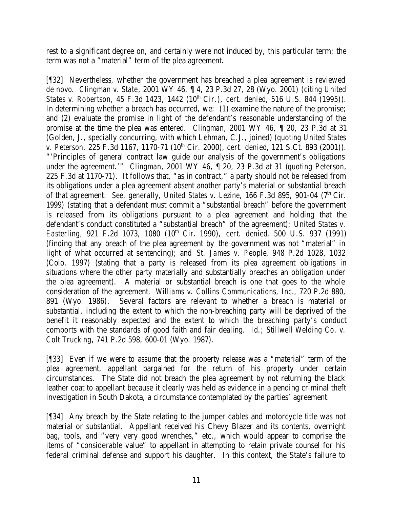rest to a significant degree on, and certainly were not induced by, this particular term; the term was not a "material" term of the plea agreement.

[¶32] Nevertheless, whether the government has breached a plea agreement is reviewed *de novo*. *Clingman v. State*, 2001 WY 46, ¶ 4, 23 P.3d 27, 28 (Wyo. 2001) (*citing United States v. Robertson*, 45 F.3d 1423, 1442 (10<sup>th</sup> Cir.), *cert. denied*, 516 U.S. 844 (1995)). In determining whether a breach has occurred, we: (1) examine the nature of the promise; and (2) evaluate the promise in light of the defendant's reasonable understanding of the promise at the time the plea was entered. *Clingman*, 2001 WY 46, ¶ 20, 23 P.3d at 31 (Golden, J., specially concurring, with which Lehman, C.J., joined) (*quoting United States v. Peterson,* 225 F.3d 1167, 1170-71 (10<sup>th</sup> Cir. 2000), *cert. denied*, 121 S.Ct. 893 (2001)). "'Principles of general contract law guide our analysis of the government's obligations under the agreement.'" *Clingman*, 2001 WY 46, ¶ 20, 23 P.3d at 31 (*quoting Peterson*, 225 F.3d at 1170-71). It follows that, "as in contract," a party should not be released from its obligations under a plea agreement absent another party's material or substantial breach of that agreement. *See, generally, United States v. Lezine*, 166 F.3d 895, 901-04 (7<sup>th</sup> Cir. 1999) (stating that a defendant must commit a "substantial breach" before the government is released from its obligations pursuant to a plea agreement and holding that the defendant's conduct constituted a "substantial breach" of the agreement); *United States v. Easterling*, 921 F.2d 1073, 1080 (10<sup>th</sup> Cir. 1990), *cert. denied*, 500 U.S. 937 (1991) (finding that any breach of the plea agreement by the government was not "material" in light of what occurred at sentencing); and *St. James v. People*, 948 P.2d 1028, 1032 (Colo. 1997) (stating that a party is released from its plea agreement obligations in situations where the other party materially and substantially breaches an obligation under the plea agreement). A material or substantial breach is one that goes to the whole consideration of the agreement. *Williams v. Collins Communications, Inc.*, 720 P.2d 880, 891 (Wyo. 1986). Several factors are relevant to whether a breach is material or substantial, including the extent to which the non-breaching party will be deprived of the benefit it reasonably expected and the extent to which the breaching party's conduct comports with the standards of good faith and fair dealing. *Id*.; *Stillwell Welding Co. v. Colt Trucking*, 741 P.2d 598, 600-01 (Wyo. 1987).

[¶33] Even if we were to assume that the property release was a "material" term of the plea agreement, appellant bargained for the return of his property under certain circumstances. The State did not breach the plea agreement by not returning the black leather coat to appellant because it clearly was held as evidence in a pending criminal theft investigation in South Dakota, a circumstance contemplated by the parties' agreement.

[¶34] Any breach by the State relating to the jumper cables and motorcycle title was not material or substantial. Appellant received his Chevy Blazer and its contents, overnight bag, tools, and "very very good wrenches," etc., which would appear to comprise the items of "considerable value" to appellant in attempting to retain private counsel for his federal criminal defense and support his daughter. In this context, the State's failure to